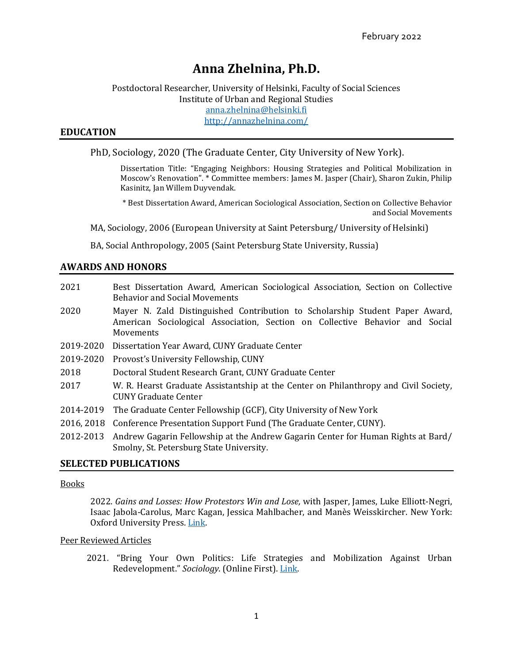# **Anna Zhelnina, Ph.D.**

# Postdoctoral Researcher, University of Helsinki, Faculty of Social Sciences Institute of Urban and Regional Studies [anna.zhelnina@helsinki.fi](mailto:anna.zhelnina@helsinki.fi) <http://annazhelnina.com/>

## **EDUCATION**

## PhD, Sociology, 2020 (The Graduate Center, City University of New York).

Dissertation Title: "Engaging Neighbors: Housing Strategies and Political Mobilization in Moscow's Renovation". \* Committee members: James M. Jasper (Chair), Sharon Zukin, Philip Kasinitz, Jan Willem Duyvendak.

\* Best Dissertation Award, American Sociological Association, Section on Collective Behavior and Social Movements

MA, Sociology, 2006 (European University at Saint Petersburg/ University of Helsinki)

BA, Social Anthropology, 2005 (Saint Petersburg State University, Russia)

## **AWARDS AND HONORS**

| 2021       | Best Dissertation Award, American Sociological Association, Section on Collective<br><b>Behavior and Social Movements</b>                                                 |
|------------|---------------------------------------------------------------------------------------------------------------------------------------------------------------------------|
| 2020       | Mayer N. Zald Distinguished Contribution to Scholarship Student Paper Award,<br>American Sociological Association, Section on Collective Behavior and Social<br>Movements |
| 2019-2020  | Dissertation Year Award, CUNY Graduate Center                                                                                                                             |
| 2019-2020  | Provost's University Fellowship, CUNY                                                                                                                                     |
| 2018       | Doctoral Student Research Grant, CUNY Graduate Center                                                                                                                     |
| 2017       | W. R. Hearst Graduate Assistantship at the Center on Philanthropy and Civil Society,<br>CUNY Graduate Center                                                              |
| 2014-2019  | The Graduate Center Fellowship (GCF), City University of New York                                                                                                         |
| 2016, 2018 | Conference Presentation Support Fund (The Graduate Center, CUNY).                                                                                                         |
| 2012-2013  | Andrew Gagarin Fellowship at the Andrew Gagarin Center for Human Rights at Bard/<br>Smolny, St. Petersburg State University.                                              |

## **SELECTED PUBLICATIONS**

#### Books

2022. *Gains and Losses: How Protestors Win and Lose,* with Jasper, James, Luke Elliott-Negri, Isaac Jabola-Carolus, Marc Kagan, Jessica Mahlbacher, and Manès Weisskircher. New York: Oxford University Press. [Link.](https://www.amazon.com/Gains-Losses-Protestors-STUDIES-POLITICS-dp-0197623263/dp/0197623263/ref=mt_other?_encoding=UTF8&me=&qid=)

## Peer Reviewed Articles

2021*.* "Bring Your Own Politics: Life Strategies and Mobilization Against Urban Redevelopment." *Sociology*. (Online First). [Link.](https://doi.org/10.1177/00380385211059438)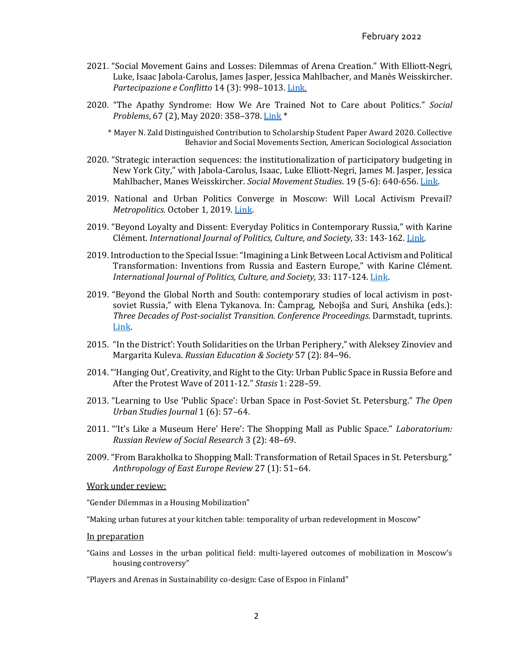- 2021. "Social Movement Gains and Losses: Dilemmas of Arena Creation." With Elliott-Negri, Luke, Isaac Jabola-Carolus, James Jasper, Jessica Mahlbacher, and Manès Weisskircher. *Partecipazione e Conflitto* 14 (3): 998–1013. [Link.](http://siba-ese.unisalento.it/index.php/paco/article/view/24480)
- 2020. "The Apathy Syndrome: How We Are Trained Not to Care about Politics." *Social Problems*, 67 (2), May 2020: 358–378. [Link](https://doi.org/10.1093/socpro/spz019) \*
	- \* Mayer N. Zald Distinguished Contribution to Scholarship Student Paper Award 2020. Collective Behavior and Social Movements Section, American Sociological Association
- 2020. "Strategic interaction sequences: the institutionalization of participatory budgeting in New York City," with Jabola-Carolus, Isaac, Luke Elliott-Negri, James M. Jasper, Jessica Mahlbacher, Manes Weisskircher. *Social Movement Studies*. 19 (5-6): 640-656. [Link.](http://www.tandfonline.com/doi/abs/10.1080/14742837.2018.1505488)
- 2019. National and Urban Politics Converge in Moscow: Will Local Activism Prevail? *Metropolitics.* October 1, 2019. [Link.](https://metropolitics.org/National-and-Urban-Politics-Converge-in-Moscow-Will-Local-Activism-Prevail.html)
- 2019. "Beyond Loyalty and Dissent: Everyday Politics in Contemporary Russia," with Karine Clément. *International Journal of Politics, Culture, and Society,* 33: 143-162. [Link.](https://link.springer.com/article/10.1007/s10767-019-9319-0)
- 2019. Introduction to the Special Issue: "Imagining a Link Between Local Activism and Political Transformation: Inventions from Russia and Eastern Europe," with Karine Clément. *International Journal of Politics, Culture, and Society,* 33: 117-124. [Link.](https://doi.org/10.1007/s10767-019-9318-1)
- 2019. "Beyond the Global North and South: contemporary studies of local activism in postsoviet Russia," with Elena Tykanova. In: Čamprag, Nebojša and Suri, Anshika (eds.): *Three Decades of Post-socialist Transition. Conference Proceedings.* Darmstadt, tuprints. [Link.](http://tuprints.ulb.tu-darmstadt.de/9222/)
- 2015. "In the District': Youth Solidarities on the Urban Periphery," with Aleksey Zinoviev and Margarita Kuleva. *Russian Education & Society* 57 (2): 84–96.
- 2014. "'Hanging Out', Creativity, and Right to the City: Urban Public Space in Russia Before and After the Protest Wave of 2011-12." *Stasis* 1: 228–59.
- 2013. "Learning to Use 'Public Space': Urban Space in Post-Soviet St. Petersburg." *The Open Urban Studies Journal* 1 (6): 57–64.
- 2011. "'It's Like a Museum Here' Here': The Shopping Mall as Public Space." *Laboratorium: Russian Review of Social Research* 3 (2): 48–69.
- 2009. "From Barakholka to Shopping Mall: Transformation of Retail Spaces in St. Petersburg." *Anthropology of East Europe Review* 27 (1): 51–64.

Work under review:

"Gender Dilemmas in a Housing Mobilization"

"Making urban futures at your kitchen table: temporality of urban redevelopment in Moscow"

#### In preparation

"Gains and Losses in the urban political field: multi-layered outcomes of mobilization in Moscow's housing controversy"

"Players and Arenas in Sustainability co-design: Case of Espoo in Finland"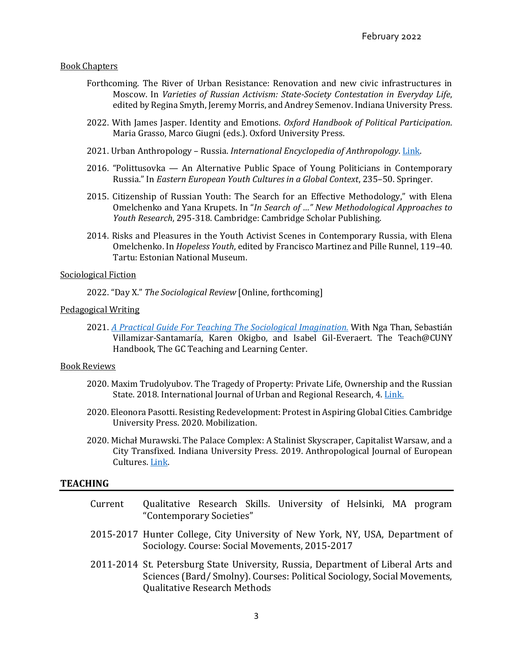#### Book Chapters

- Forthcoming. The River of Urban Resistance: Renovation and new civic infrastructures in Moscow. In *Varieties of Russian Activism: State-Society Contestation in Everyday Life*, edited by Regina Smyth, Jeremy Morris, and Andrey Semenov. Indiana University Press.
- 2022. With James Jasper. Identity and Emotions. *Oxford Handbook of Political Participation*. Maria Grasso, Marco Giugni (eds.). Oxford University Press.
- 2021. Urban Anthropology Russia. *International Encyclopedia of Anthropology*. [Link.](https://onlinelibrary.wiley.com/doi/book/10.1002/9781118924396)
- 2016. "Polittusovka An Alternative Public Space of Young Politicians in Contemporary Russia." In *Eastern European Youth Cultures in a Global Context*, 235–50. Springer.
- 2015. Citizenship of Russian Youth: The Search for an Effective Methodology," with Elena Omelchenko and Yana Krupets. In "*In Search of …" New Methodological Approaches to Youth Research*, 295-318. Cambridge: Cambridge Scholar Publishing.
- 2014. Risks and Pleasures in the Youth Activist Scenes in Contemporary Russia, with Elena Omelchenko. In *Hopeless Youth*, edited by Francisco Martinez and Pille Runnel, 119–40. Tartu: Estonian National Museum.

#### Sociological Fiction

2022. "Day X." *The Sociological Review* [Online, forthcoming]

#### Pedagogical Writing

2021. *[A Practical Guide For Teaching The Sociological Imagination.](https://cuny.manifoldapp.org/read/a-practical-guide-for-teaching-the-sociological-imagination/section/c896ca40-c095-4c36-9c90-4a39b7556100)* With Nga Than, Sebastián Villamizar-Santamaría, Karen Okigbo, and Isabel Gil-Everaert. The Teach@CUNY Handbook, The GC Teaching and Learning Center.

#### Book Reviews

- 2020. Maxim Trudolyubov. The Tragedy of Property: Private Life, Ownership and the Russian State. 2018. International Journal of Urban and Regional Research, 4. [Link.](https://doi.org/10.1111/1468-2427.12972)
- 2020. Eleonora Pasotti. Resisting Redevelopment: Protest in Aspiring Global Cities. Cambridge University Press. 2020. Mobilization.
- 2020. Michał Murawski. The Palace Complex: A Stalinist Skyscraper, Capitalist Warsaw, and a City Transfixed. Indiana University Press. 2019. Anthropological Journal of European Cultures. [Link.](https://doi.org/10.3167/ajec.2020.290211)

## **TEACHING**

- Current Qualitative Research Skills. University of Helsinki, MA program "Contemporary Societies"
- 2015-2017 Hunter College, City University of New York, NY, USA, Department of Sociology. Course: Social Movements, 2015-2017
- 2011-2014 St. Petersburg State University, Russia, Department of Liberal Arts and Sciences (Bard/ Smolny). Courses: Political Sociology, Social Movements, Qualitative Research Methods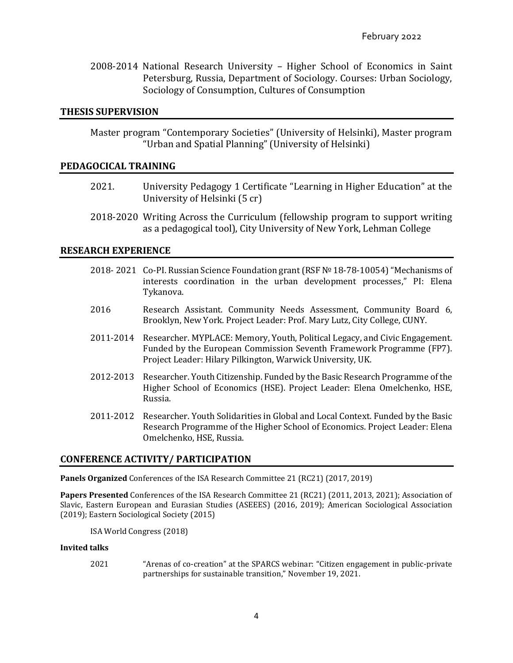2008-2014 National Research University – Higher School of Economics in Saint Petersburg, Russia, Department of Sociology. Courses: Urban Sociology, Sociology of Consumption, Cultures of Consumption

## **THESIS SUPERVISION**

Master program "Contemporary Societies" (University of Helsinki), Master program "Urban and Spatial Planning" (University of Helsinki)

## **PEDAGOCICAL TRAINING**

- 2021. University Pedagogy 1 Certificate "Learning in Higher Education" at the University of Helsinki (5 cr)
- 2018-2020 Writing Across the Curriculum (fellowship program to support writing as a pedagogical tool), City University of New York, Lehman College

## **RESEARCH EXPERIENCE**

- 2018- 2021 Co-PI. Russian Science Foundation grant (RSF № 18-78-10054) "Mechanisms of interests coordination in the urban development processes," PI: Elena Tykanova.
- 2016 Research Assistant. Community Needs Assessment, Community Board 6, Brooklyn, New York. Project Leader: Prof. Mary Lutz, City College, CUNY.
- 2011-2014 Researcher. MYPLACE: Memory, Youth, Political Legacy, and Civic Engagement. Funded by the European Commission Seventh Framework Programme (FP7). Project Leader: Hilary Pilkington, Warwick University, UK.
- 2012-2013 Researcher. Youth Citizenship. Funded by the Basic Research Programme of the Higher School of Economics (HSE). Project Leader: Elena Omelchenko, HSE, Russia.
- 2011-2012 Researcher. Youth Solidarities in Global and Local Context. Funded by the Basic Research Programme of the Higher School of Economics. Project Leader: Elena Omelchenko, HSE, Russia.

## **CONFERENCE ACTIVITY/ PARTICIPATION**

**Panels Organized** Conferences of the ISA Research Committee 21 (RC21) (2017, 2019)

**Papers Presented** Conferences of the ISA Research Committee 21 (RC21) (2011, 2013, 2021); Association of Slavic, Eastern European and Eurasian Studies (ASEEES) (2016, 2019); American Sociological Association (2019); Eastern Sociological Society (2015)

ISA World Congress (2018)

#### **Invited talks**

2021 "Arenas of co-creation" at the SPARCS webinar: "Citizen engagement in public-private partnerships for sustainable transition," November 19, 2021.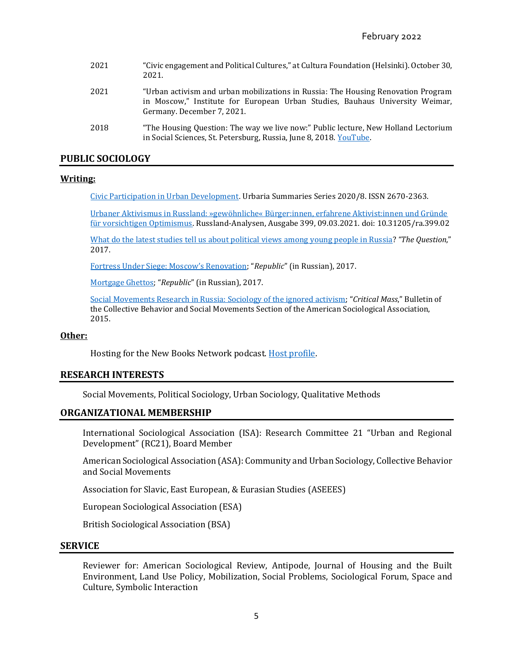| 2021 | "Civic engagement and Political Cultures," at Cultura Foundation (Helsinki). October 30,<br>2021.                                                                                               |
|------|-------------------------------------------------------------------------------------------------------------------------------------------------------------------------------------------------|
| 2021 | "Urban activism and urban mobilizations in Russia: The Housing Renovation Program<br>in Moscow," Institute for European Urban Studies, Bauhaus University Weimar,<br>Germany. December 7, 2021. |
| 2018 | "The Housing Question: The way we live now:" Public lecture, New Holland Lectorium<br>in Social Sciences, St. Petersburg, Russia, June 8, 2018. YouTube.                                        |

## **PUBLIC SOCIOLOGY**

#### **Writing:**

[Civic Participation in Urban Development](https://urbanacademy.fi/wp-content/uploads/2020/11/anna_zhelnina_civic_participation_in_urban_development-6.pdf). Urbaria Summaries Series 2020/8. ISSN 2670-2363.

[Urbaner Aktivismus in Russland: »gewöhnliche« Bürger:innen, erfahrene Aktivist:innen und Gründe](https://www.laender-analysen.de/russland-analysen/399/urbaner-aktivismus-in-russland/)  [für vorsichtigen Optimismus.](https://www.laender-analysen.de/russland-analysen/399/urbaner-aktivismus-in-russland/) Russland-Analysen, Ausgabe 399, 09.03.2021. doi: 10.31205/ra.399.02

[What do the latest studies tell us about political views among young people in Russia?](https://thequestion.com/questions/243703/what-do-the-latest-studies-tell-us-about-political-views-among-young-people-in-russia) *"The Question*," 2017.

[Fortress Under Siege: Moscow's Renovation;](https://republic.ru/posts/85953) "*Republic*" (in Russian), 2017.

[Mortgage Ghettos](https://republic.ru/posts/84461); "*Republic*" (in Russian), 2017.

[Social Movements Research in Russia: Sociology of the ignored activism](http://cbsm-asa.org/2015/05/social-movements-research-in-russia-sociology-of-the-ignored-activism/); "*Critical Mass*," Bulletin of the Collective Behavior and Social Movements Section of the American Sociological Association, 2015.

#### **Other:**

Hosting for the New Books Network podcast. [Host profile.](https://newbooksnetwork.com/hosts/profile/5935d57f-a820-41ab-85dd-08a75379c54c)

## **RESEARCH INTERESTS**

Social Movements, Political Sociology, Urban Sociology, Qualitative Methods

#### **ORGANIZATIONAL MEMBERSHIP**

International Sociological Association (ISA): Research Committee 21 "Urban and Regional Development" (RC21), Board Member

American Sociological Association (ASA): Community and Urban Sociology, Collective Behavior and Social Movements

Association for Slavic, East European, & Eurasian Studies (ASEEES)

European Sociological Association (ESA)

British Sociological Association (BSA)

#### **SERVICE**

Reviewer for: American Sociological Review, Antipode, Journal of Housing and the Built Environment, Land Use Policy, Mobilization, Social Problems, Sociological Forum, Space and Culture, Symbolic Interaction